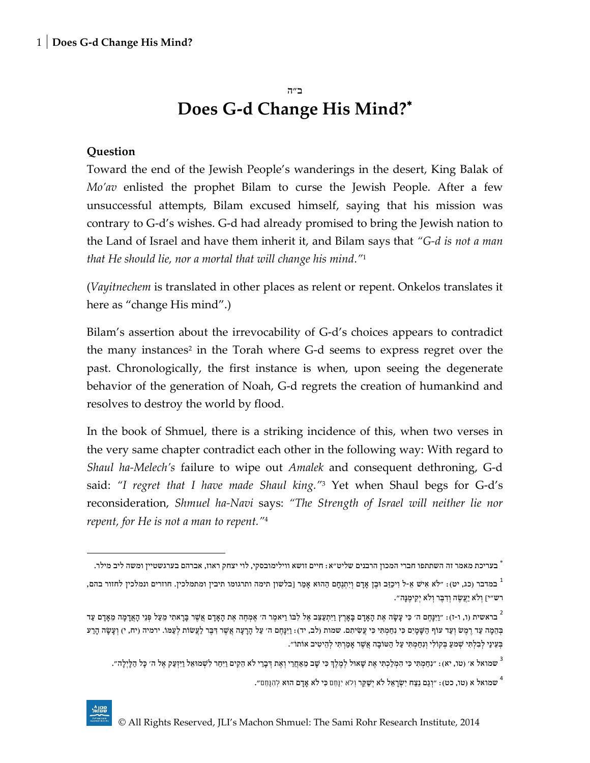#### **Question**

 $\overline{a}$ 

Toward the end of the Jewish People's wanderings in the desert, King Balak of *Mo'av* enlisted the prophet Bilam to curse the Jewish People. After a few unsuccessful attempts, Bilam excused himself, saying that his mission was contrary to G-d's wishes. G-d had already promised to bring the Jewish nation to the Land of Israel and have them inherit it, and Bilam says that *"G-d is not a man that He should lie, nor a mortal that will change his mind*.*"* 1

(*Vayitnechem* is translated in other places as relent or repent. Onkelos translates it here as "change His mind".)

Bilam's assertion about the irrevocability of G-d's choices appears to contradict the many instances<sup>2</sup> in the Torah where G-d seems to express regret over the past. Chronologically, the first instance is when, upon seeing the degenerate behavior of the generation of Noah, G-d regrets the creation of humankind and resolves to destroy the world by flood.

In the book of Shmuel, there is a striking incidence of this, when two verses in the very same chapter contradict each other in the following way: With regard to *Shaul ha-Melech's* failure to wipe out *Amalek* and consequent dethroning, G-d said: *"I regret that I have made Shaul king."* <sup>3</sup> Yet when Shaul begs for G-d's reconsideration, *Shmuel ha-Navi* says: *"The Strength of Israel will neither lie nor repent, for He is not a man to repent."* 4

שמואל א (טו, כט): "וְגַם נֵצַח יִשְׂרָאֵל לֹא יְשַׁקֵּר וְלֹא יָנָחֵם כִּי לֹא אָדָם הוּא לְהִנָּחֵם". "

בעריכת מאמר זה השתתפו חברי המכון הרבנים שליט"א: חיים זושא ווילימובסקי, לוי יצחק ראוז, אברהם בערגשטיין ומשה ליב מילר.

<sup>,</sup> במדבר (כג, יט): ״לא אִישׁ אֵ-ל וִיכַזֵּב וּבֶן אָדָם וְיִתְנֶחָם הַהוּא אָמַר [בלשון תימה ותרגומו תיבין ומתמלכין. חוזרים ונמלכין לחזור בהם, רש"י[ וְ ֹלא יַעֲשֶ ה וְ דִ בֶ ר וְ ֹלא יְקִ ימֶ נָה".

בראשית (ו, ו-ז): ״וַיִּנְחֶם ה׳ כִּי עָשָׂה אֶת הָאָדָם בָּאָרֶץ וַיִּתְעַצֵּב אֶל לְבוֹ וַיֹּאמֶר ה׳ אֶמְחֶה אֶת הָאָדָם אֲשֶׁר בָּרָאתִי מֵעַל פְּנֵי הָאֲדָמָה מֵאָדָם עַד " בְהֶמָה עַד רֵמֶשׁ וְעַד עוֹף הַשָּׁמַיִם כִּי נִחָמְתִּי כִּי עֲשָׂיתִם. שמות (לב, יד): וַיְּנַחֵם ה' עַל הַרַעָה אֲשֶׁר דִּבֶר לַעֲשׂוֹת לִעֲמּוֹ. ירמיה (יח, י) וְעַשַׂה הָרָע בְּעֵינַי לְבִלְתִּי שְׁמַעַ בְּקוֹלִי וְנִחַמְתִּי עַל הַטוֹבָה אֲשֶׁר אָמַרְתִּי לְהֵיטִיב אוֹתוֹ".

שמואל א׳ (טו, יא): ״נִחַמְתִּי כִּי הִמְלַכְתִּי אֶת שָׁאוּל לְמֶלֶךְ כִּי שָׁב מֵאַחֲרֵי וְאֶת דְּבָרֵי לֹא הֵקִים וַיִּחַר לִשְׁמוּאֵל וַיִּזְעַק אֶל ה׳ כָּל הַלְיָלָה״.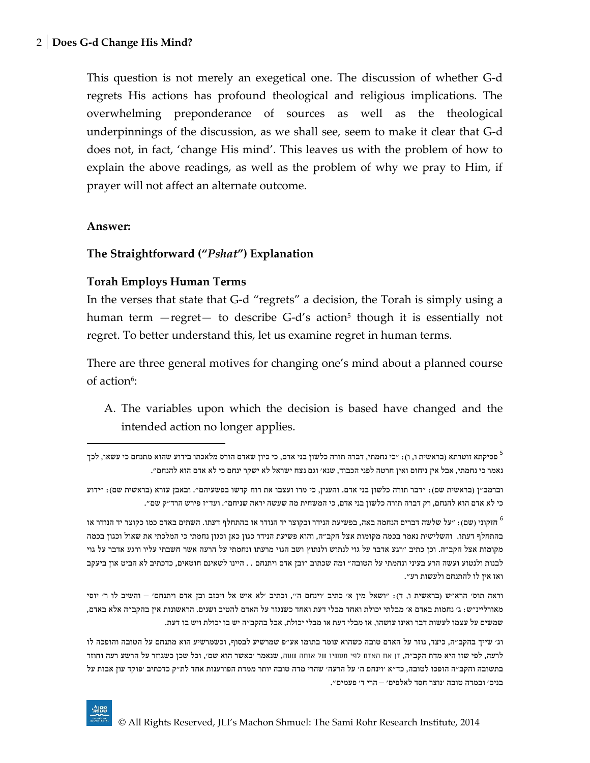This question is not merely an exegetical one. The discussion of whether G-d regrets His actions has profound theological and religious implications. The overwhelming preponderance of sources as well as the theological underpinnings of the discussion, as we shall see, seem to make it clear that G-d does not, in fact, 'change His mind'. This leaves us with the problem of how to explain the above readings, as well as the problem of why we pray to Him, if prayer will not affect an alternate outcome.

#### **Answer:**

 $\overline{\phantom{a}}$ 

### **The Straightforward ("***Pshat***") Explanation**

#### **Torah Employs Human Terms**

In the verses that state that G-d "regrets" a decision, the Torah is simply using a human term —regret— to describe G-d's action<sup>5</sup> though it is essentially not regret. To better understand this, let us examine regret in human terms.

There are three general motives for changing one's mind about a planned course of action<sup>6</sup>:

A. The variables upon which the decision is based have changed and the intended action no longer applies.

הזקוני (שם): "על שלשה דברים הנחמה באה, בפשיעת הנידר ובקוצר יד הנודר או בהתחלף דעתו. השתים באדם כמו כקוצר יד הנודר או $\mathfrak{h}$ בהתחלף דעתו. והשלישית נאמר בכמה מקומות אצל הקב"ה, והוא פשיעת הנידר כגון כאן וכגון נחמתי כי המלכתי את שאול וכגון בכמה מקומות אצל הקב"ה. וכן כתיב "רגע אדבר על גוי לנתוש ולנתוץ ושב הגוי מרעתו ונחמתי על הרעה אשר חשבתי עליו ורגע אדבר על גוי לבנות ולנטוע ועשה הרע בעיני ונחמתי על הטובה" ומה שכתוב "ובן אדם ויתנחם . . היינו לשאינם חוטאים, כדכתיב לא הביט און ביעקב ואז אין לו להתנחם ולעשות רע".

וראה תוס׳ הרא"ש (בראשית ו, ד): "ושאל מין א' כתיב 'וינחם ה'', וכתיב 'לא איש אל ויכזב ובן אדם ויתנחם' – והשיב לו ר' יוסי מאורליינ"ש: ג' נחמות באדם א' מבלתי יכולת ואחד מבלי דעת ואחד כשנגזר על האדם להטיב ושנים. הראשונות אין בהקב"ה אלא באדם, שמשים על עצמו לעשות דבר ואינו עושהו, או מבלי דעת או מבלי יכולת, אבל בהקב"ה יש בו יכולת ויש בו דעת.

וג' שייך בהקב"ה, כיצד, גוזר על האדם טובה כשהוא עומד בתומו אע"פ שמרשיע לבסוף, וכשמרשיע הוא מתנחם על הטובה והופכה לו לרעה, לפי שזו היא מדת הקב"ה, דן את האדם לפי מעשיו של אותה שעה, שנאמר 'באשר הוא שם', וכל שכן כשגוזר על הרשע רעה וחוזר בתשובה והקב"ה הופכו לטובה, כד"א 'וינחם ה' על הרעה' שהרי מדה טובה יותר ממדת הפורענות אחד לת"ק כדכתיב 'פוקד עון אבות על בנים' ובמדה טובה 'נוצר חסד לאלפים' – הרי ד' פעמים".

פסיקתא זוטרתא (בראשית ו, ו): "כי נחמתי, דברה תורה כלשון בני אדם, כי כיון שאדם הורס מלאכתו בידוע שהוא מתנחם כי עשאו, לכך  $^5$ נאמר כי נחמתי, אבל אין ניחום ואין חרטה לפני הכבוד, שנא' וגם נצח ישראל לא ישקר ינחם כי לא אדם הוא להנחם".

וברמב"ן )בראשית שם(: "דבר תורה כלשון בני אדם. והענין, כי מרו ועצבו את רוח קדשו בפשעיהם". ובאבן עזרא )בראשית שם(: "ידוע כי לא אדם הוא להנחם, רק דברה תורה כלשון בני אדם, כי המשחית מה שעשה יראה שניחם". ועד"ז פירש הרד"ק שם".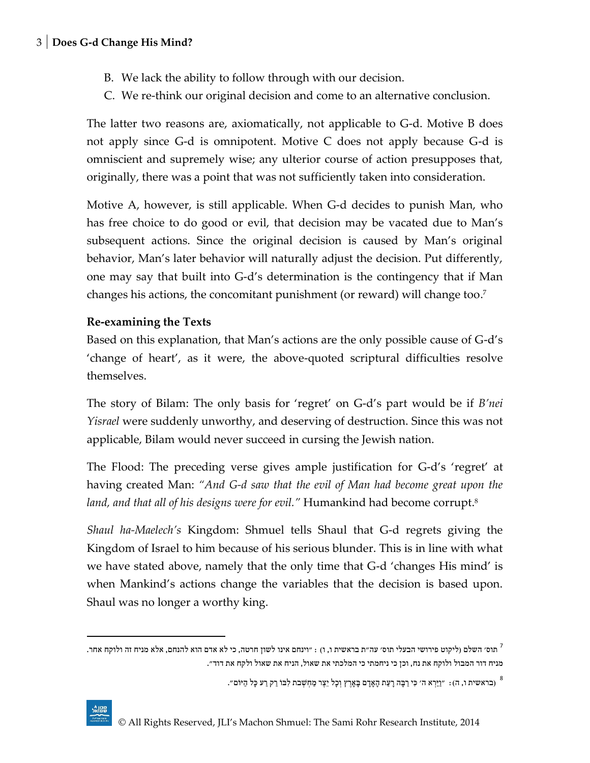- B. We lack the ability to follow through with our decision.
- C. We re-think our original decision and come to an alternative conclusion.

The latter two reasons are, axiomatically, not applicable to G-d. Motive B does not apply since G-d is omnipotent. Motive C does not apply because G-d is omniscient and supremely wise; any ulterior course of action presupposes that, originally, there was a point that was not sufficiently taken into consideration.

Motive A, however, is still applicable. When G-d decides to punish Man, who has free choice to do good or evil, that decision may be vacated due to Man's subsequent actions. Since the original decision is caused by Man's original behavior, Man's later behavior will naturally adjust the decision. Put differently, one may say that built into G-d's determination is the contingency that if Man changes his actions, the concomitant punishment (or reward) will change too. 7

### **Re-examining the Texts**

Based on this explanation, that Man's actions are the only possible cause of G-d's 'change of heart', as it were, the above-quoted scriptural difficulties resolve themselves.

The story of Bilam: The only basis for 'regret' on G-d's part would be if *B'nei Yisrael* were suddenly unworthy, and deserving of destruction. Since this was not applicable, Bilam would never succeed in cursing the Jewish nation.

The Flood: The preceding verse gives ample justification for G-d's 'regret' at having created Man: *"And G-d saw that the evil of Man had become great upon the land, and that all of his designs were for evil."* Humankind had become corrupt. 8

*Shaul ha-Maelech's* Kingdom: Shmuel tells Shaul that G-d regrets giving the Kingdom of Israel to him because of his serious blunder. This is in line with what we have stated above, namely that the only time that G-d 'changes His mind' is when Mankind's actions change the variables that the decision is based upon. Shaul was no longer a worthy king.

" (בראשית ו, ה): "וַיַּרְא ה' כִּי רַבָּה רָעַת הָאָדָם בָאָרֶץ וְכָל יֵצֶר מַחְשְׁבת לִבּוֹ רַק רַע כָּל הַיּוֹם".

l

תוס׳ השלם (ליקוט פירושי הבעלי תוס׳ עה״ת בראשית ו, ו) : ״וינחם אינו לשון חרטה, כי לא אדם הוא להנחם, אלא מניח זה ולוקח אחר.<sup>7</sup> מניח דור המבול ולוקח את נח, וכן כי ניחמתי כי המלכתי את שאול, הניח את שאול ולקח את דוד".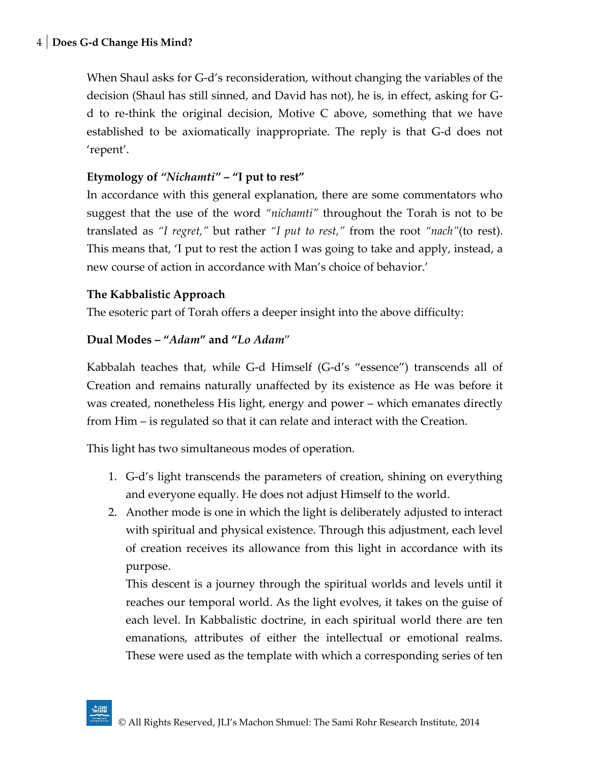When Shaul asks for G-d's reconsideration, without changing the variables of the decision (Shaul has still sinned, and David has not), he is, in effect, asking for Gd to re-think the original decision, Motive C above, something that we have established to be axiomatically inappropriate. The reply is that G-d does not 'repent'.

## **Etymology of** *"Nichamti"* **– "I put to rest"**

In accordance with this general explanation, there are some commentators who suggest that the use of the word *"nichamti"* throughout the Torah is not to be translated as *"I regret,"* but rather *"I put to rest,"* from the root *"nach"*(to rest). This means that, 'I put to rest the action I was going to take and apply, instead, a new course of action in accordance with Man's choice of behavior.'

## **The Kabbalistic Approach**

The esoteric part of Torah offers a deeper insight into the above difficulty:

## **Dual Modes – "***Adam***" and "***Lo Adam*"

Kabbalah teaches that, while G-d Himself (G-d's "essence") transcends all of Creation and remains naturally unaffected by its existence as He was before it was created, nonetheless His light, energy and power – which emanates directly from Him – is regulated so that it can relate and interact with the Creation.

This light has two simultaneous modes of operation.

- 1. G-d's light transcends the parameters of creation, shining on everything and everyone equally. He does not adjust Himself to the world.
- 2. Another mode is one in which the light is deliberately adjusted to interact with spiritual and physical existence. Through this adjustment, each level of creation receives its allowance from this light in accordance with its purpose.

This descent is a journey through the spiritual worlds and levels until it reaches our temporal world. As the light evolves, it takes on the guise of each level. In Kabbalistic doctrine, in each spiritual world there are ten emanations, attributes of either the intellectual or emotional realms. These were used as the template with which a corresponding series of ten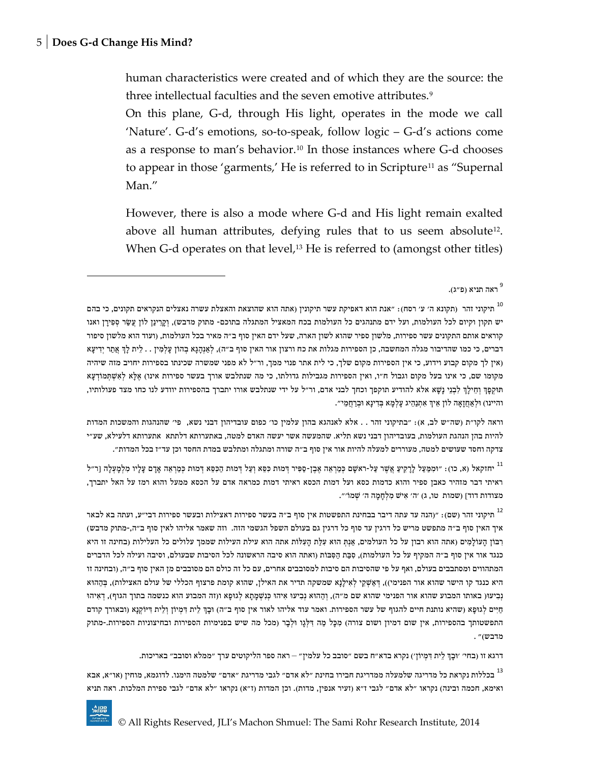human characteristics were created and of which they are the source: the three intellectual faculties and the seven emotive attributes.<sup>9</sup>

On this plane, G-d, through His light, operates in the mode we call 'Nature'. G-d's emotions, so-to-speak, follow logic – G-d's actions come as a response to man's behavior.<sup>10</sup> In those instances where G-d chooses to appear in those 'garments,' He is referred to in Scripture<sup>11</sup> as "Supernal Man."

However, there is also a mode where G-d and His light remain exalted above all human attributes, defying rules that to us seem absolute<sup>12</sup>. When G-d operates on that level, $13$  He is referred to (amongst other titles)

וראה לקו"ת )שה"ש לב, א(: "בתיקוני זהר . . אלא לאנהגא בהון עלמין כו' כפום עובדיהון דבני נשא, פי' שהנהגות והמשכות המדות להיות בהן הנהגת העולמות, בעובדיהון דבני נשא תליא. שהמעשה אשר יעשה האדם למטה, באתערותא דלתתא אתערותא דלעילא, שע"י צדקה וחסד שעושים למטה, מעוררים למעלה להיות אור אין סוף ב"ה שורה ומתגלה ומתלבש במדת החסד וכן עד"ז בכל המדות".

יחזקאל (א, כו): "וּמִמַּעַל לַרַקִיעַ אֲשֶׁר עַל-ראשָׁם כִּמַרְאֵה אֶבֶן-סַפִּיר דְּמוּת כִּמָּא וְעַל דְמוּת הַכִּסֵּא דְמוּת כְּמַרְאֵה אָדָם עָלָיו מִלְמָעְלָה [ר"ל  $\,$ ראיתי דבר מזהיר כאבן ספיר והוא כדמות כסא ועל דמות הכסא ראיתי דמות כמראה אדם על הכסא ממעל והוא רמז על האל יתברך, מצודות דוד] (שמות טו, ג) 'ה' אִישׁ מִלְחָמָה ה' שְׁמוֹ'".

תיקוני זהר (שם): "(הנה עד עתה דיבר בבחינת התפשטות אין סוף ב"ה בעשר ספירות דאצילות ובעשר ספירות דבי"ע, ועתה בא לבאר איך האין סוף ב"ה מתפשט מריש כל דרגין עד סוף כל דרגין גם בעולם השפל הגשמי הזה. וזה שאמר אליהו לאין סוף ב"ה-,מתוק מדבש( רְבּוֹן הַעוֹלְמִים (אתה הוא רבון על כל העולמים, אַנְתְּ הוּא עָלָת הַעָלוֹת אתה הוא עילת העילות שממך עלולים כל העלילות (בחינה זו היא כנגד אור אין סוף ב״ה המקיף על כל העולמות), סִבַּת הַסִּבּוֹת (ואתה הוא סיבה הראשונה לכל הסיבות שבעולם, וסיבה ועילה לכל הדברים המתהווים ומסתבבים בעולם, ואף על פי שהסיבות הם סיבות למסובבים אחרים, עם כל זה כולם הם מסובבים מן האין סוף ב"ה, )ובחינה זו היא כנגד קו הישר שהוא אור הפנימי)), דְּאַשְׁקֵי לְאִילָנָא שמשקה תדיר את האילן, שהוא קומת פרצוף הכללי של עולם האצילות), בְּהַהוּא נְבִיעוּ( באותו המבוע שהוא אור הפנימי שהוא שם מ"ה), וְהָהוּא נִבְיעוּ אִיהוּ כִּנְשָׁמַתָא לְגוּפָא ו(זה המבוע הוא כנשמה בתוך הגוף), דְאִיהוּ חַיִּים לְגוּפָא (שהיא נותנת חיים להגוף של עשר הספירות. ואמר עוד אליהו לאור אין סוף ב״ה) וּבָדְּ לָית דְּמִיזֹן וְלֶית דִּיּזֹקְנֵא (ובאורך קודם התפשטותך בהספירות, אין שום דמיון ושום צורה) מִכָּל מַה דִּלְגֶו וּלְבָר (מכל מה שיש בפנימיות הספירות ובחיצוניות הספירות.-מתוק מדבש(" .

דרגא זו )בחי' 'ּובָ ְך ל ית דִ מְ יו ן'( נקרא בדא"ח בשם "סובב כל עלמין" – ראה ספר הליקוטים ערך "ממלא וסובב" באריכות.

<sup>13</sup> בכללות נקראת כל מדריגה שלמעלה ממדריגת חבירו בחינת "לא אדם" לגבי מדריגת "אדם" שלמטה הימנו. לדוגמא, מוחין (או"א, אבא ואימא, חכמה ובינה) נקראו "לא אדם" לגבי ז"א (זעיר אנפין, מדות). וכן המדות (ז"א) נקראו "לא אדם" לגבי ספירת המלכות. ראה תניא

ראה תניא (פ"ג).<br>

תיקוני זהר (תקונא ה׳ ע׳ רסח): ״אנת הוא דאפיקת עשר תיקונין (אתה הוא שהוצאת והאצלת עשרה נאצלים הנקראים תקונים, כי בהם יש תקון וקיום לכל העולמות, ועל ידם מתנהגים כל העולמות בכח המאציל המתגלה בתוכם- מתוק מדבש), וְקֶרֵינַן לוֹן עֲשַׂר סְפִירָן ואנו קוראים אותם התקונים עשר ספירות, מלשון ספיר שהוא לשון הארה, שעל ידם האין סוף ב"ה מאיר בכל העולמות, )ועוד הוא מלשון סיפור דברים, כי כמו שהדיבור מגלה המחשבה, כן הספירות מגלות את כח ורצון אור האין סוף ב"ה), לְאַנְהָגָא בְהוֹן עַלְמִין . . לֵית לַךְ אֲתַר יִדִיעָא )אין לך מקום קבוע וידוע, כי אין הספירות מקום שלך, כי לית אתר פנוי ממך, ור"ל לא מפני שמשרה שכינתו בספירות יחויב מזה שיהיה מקומו שם, כי אינו בעל מקום וגבול ח"ו, ואין הספירות מגבילות גדולתו, כי מה שנתלבש אורך בעשר ספירות אינו) אֱלָא לְאִשְׁתְּמוֹדְעָא תּוקְ פָ ְך וְ ח ילְָך לִ בְ נ י נָׁשָ א אלא להודיע תוקפך וכחך לבני אדם, ור"ל על ידי שנתלבש אורו יתברך בהספירות יוודע לנו כחו מצד פעולותיו, והיינו) וּלְאַחֲזָאָה לוֹן אֵיךְ אִתְנַהֵיג עָלְמָא בְּדִינָא וּבְרַחֲמֵי".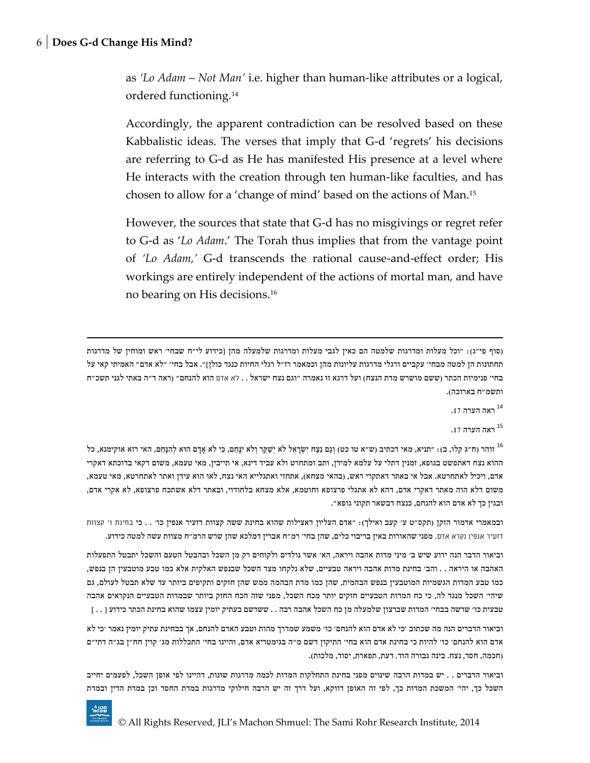$\overline{\phantom{a}}$ 

as *'Lo Adam* – *Not Man'* i.e. higher than human-like attributes or a logical, ordered functioning.<sup>14</sup>

Accordingly, the apparent contradiction can be resolved based on these Kabbalistic ideas. The verses that imply that G-d 'regrets' his decisions are referring to G-d as He has manifested His presence at a level where He interacts with the creation through ten human-like faculties, and has chosen to allow for a 'change of mind' based on the actions of Man.<sup>15</sup>

However, the sources that state that G-d has no misgivings or regret refer to G-d as '*Lo Adam*.' The Torah thus implies that from the vantage point of *'Lo Adam,'* G-d transcends the rational cause-and-effect order; His workings are entirely independent of the actions of mortal man, and have no bearing on His decisions.<sup>16</sup>

)סוף פי"ג(: "וכל מעלות ומדרגות שלמטה הם כאין לגבי מעלות ומדרגות שלמעלה מהן ]כידוע לי"ח שבחי' ראש ומוחין של מדרגות תחתונות הן למטה מבחי' עקביים ורגלי מדרגות עליונות מהן וכמאמר רז"ל רגלי החיות כנגד כולן[". אבל בחי' "לא אדם" האמיתי קאי על בחי׳ פנימיות הכתר (ששם מושרש מדת הנצח) ועל דרגא זו נאמרה "וגם נצח ישראל . . לא אדם הוא להנחם" (ראה ד"ה באתי לגני תשכ"ח ותשמ"ח בארוכה).

.<br>ראה הערה <sup>14</sup>

.<br>ראה הערה 17

<sup>16</sup> זוהר (ח״ג קלו, ב): "תניא, מאי דכתיב (ש״א טו כט) וְגַם נֵצַח יִשְׂרָאֵל לֹא יְשַׁקֵּר וְלֹא יִנָּחֵם, כִּי לֹא אָדָם הוּא לְהִנָּחֵם, האי רזא אוקימנא, כל ההוא נצח דאתפשט בגופא, זמנין דתלי על עלמא למידן, ותב ומתחרט ולא עביד דינא, אי תייבין, מאי טעמא, משום דקאי בדוכתא דאקרי אדם, ויכיל לאתחרטא. אבל אי באתר דאתקרי ראש, (בהאי מצחא), אתחזי ואתגלייא האי נצח, לאו הוא עידן ואתר לאתחרטא, מאי טעמא, משום דלא הוה מאתר דאקרי אדם, דהא לא אתגלי פרצופא וחוטמא, אלא מצחא בלחודוי, ובאתר דלא אשתכח פרצופא, לא אקרי אדם, ובגין כך לא אדם הוא להנחם, כנצח דבשאר תקוני גופא".

ובמאמרי אדמור הזקן (תקס"ט ע' קעב ואילך): "אדם העליון דאצילות שהוא בחינת ששה קצוות דזעיר אנפין כו' . . כי בחינת ו' קצוות דזעיר אנפין נקרא אדם, מפני שהאורות באין בריבוי כלים, שהן בחי' רמ"ח אברין דמלכא שהן שרש הרמ"ח מצוות עשה למטה כידוע.

וביאור הדבר הנה ידוע שיש ב' מיני מדות אהבה ויראה, הא' אשר נולדים ולקוחים רק מן השכל ובהבטל הטעם והשכל יתבטל התפעלות האהבה או היראה . . והב' בחינת מדות אהבה ויראה טבעיים, שלא נלקחו מצד השכל שבנפש האלקית אלא כמו טבע מוטבעין הן בנפש, כמו טבע המדות הגשמיות המוטבעין בנפש הבהמית, שהן כמו מדת הבהמה ממש שהן חזקים ותקיפים ביותר עד שלא תבטל לעולם, גם שיהי' השכל מנגד לה, כי כח המדות הטבעיים חזקים יותר מכח השכל, מפני שזה הכח החזק ביותר שבמדות הטבעיים הנקראים אהבה טבעית כו' שרשה בבחי' המדות שברצון שלמעלה מן כח השכל אהבה רבה . . ששרשם בעתיק יומין עצמו שהוא בחינת הכתר כידוע ] . . [

וביאור הדברים הנה מה שכתוב 'כי לא אדם הוא להנחם' כו' משמע שמדרך מהות וטבע האדם להנחם, אך בבחינת עתיק יומין נאמר 'כי לא אדם הוא להנחם' כו' להיות כי בחינת אדם הוא בחי' התיקון דשם מ"ה בגימטריא אדם, והיינו בחי' התכללות מג' קוין חח"ן בג"ה דתי"ם )חכמה, חסד, נצח. בינה גבורה הוד. דעת, תפארת, יסוד, מלכות(.

וביאור הדברים . . יש במדות הרבה שינוים מפני בחינת התחלקות המדות לכמה מדרגות שונות, דהיינו לפי אופן השכל, לפעמים יחייב השכל כך, יהי' המשכת המדות כך, לפי זה האופן דווקא, ועל דרך זה יש הרבה חילוקי מדרגות במדת החסד וכן במדת הדין ובמדת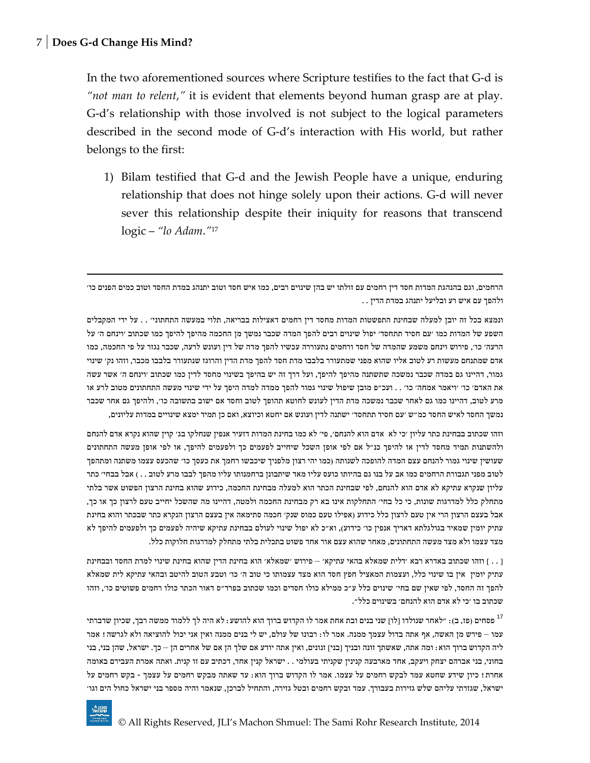In the two aforementioned sources where Scripture testifies to the fact that G-d is *"not man to relent*,*"* it is evident that elements beyond human grasp are at play. G-d's relationship with those involved is not subject to the logical parameters described in the second mode of G-d's interaction with His world, but rather belongs to the first:

1) Bilam testified that G-d and the Jewish People have a unique, enduring relationship that does not hinge solely upon their actions. G-d will never sever this relationship despite their iniquity for reasons that transcend logic – *"lo Adam*.*"* 17

הרחמים, וגם בהנהגת המדות חסד דין רחמים עם זולתו יש בהן שינוים רבים, כמו איש חסד וטוב יתנהג במדת החסד וטוב כמים הפנים כו' ולהפך עם איש רע ובליעל יתנהג במדת הדין . .

ונמצא בכל זה יובן למעלה שבחינת התפשטות המדות מחסד דין רחמים דאצילות בבריאה, תלוי במעשה התחתוני' . . על ידי המקבלים השפע של המדות כמו 'עם חסיד תתחסד' יפול שינוים רבים להפך המדה שכבר נמשך מן החכמה מהיפך להיפך כמו שכתוב 'וינחם ה' על הרעה' כו', פירוש וינחם משמע שהמדה של חסד ורחמים נתעוררה עכשיו להפך מדה של דין ועונש לרעה, שכבר נגזר על פי החכמה, כמו אדם שמתנחם מעשות רע לטוב אליו שהוא מפני שמתעורר בלבבו מדת חסד להפך מדת הדין והרוגז שנתעורר בלבבו מכבר, וזהו נק' שינוי גמור, דהיינו גם במדה שכבר נמשכה שתשתנה מהיפך להיפך, ועל דרך זה יש בהיפך בשינוי מחסד לדין כמו שכתוב 'וינחם ה' אשר עשה את האדם' כו' 'ויאמר אמחה' כו' . . ועכ"פ מובן שיפול שינוי גמור להפך ממדה למדה היפך על ידי שינוי מעשה התחתונים מטוב לרע או מרע לטוב, דהיינו כמו גם לאחר שכבר נמשכה מדת הדין לעונש לחוטא תהופך לטוב וחסד אם ישוב בתשובה כו', ולהיפך גם אחר שכבר נמשך החסד לאיש החסד כמ"ש 'עם חסיד תתחסד' ישתנה לדין ועונש אם יחטא וכיוצא, ואם כן תמיד ימצא שינויים במדות עליונים,

וזהו שכתוב בבחינת כתר עליון 'כי לא אדם הוא להנחם', פי' לא כמו בחינת המדות דזעיר אנפין שנחלקו בג' קוין שהוא נקרא אדם להנחם ולהשתנות תמיד מחסד לדין או להיפך כנ"ל אם לפי אופן השכל שיחייב לפעמים כך ולפעמים להיפך, או לפי אופן מעשה התחתונים שעושין שינוי גמור להנחם עצם המדה להופכה לשנותה )כמו יהי רצון מלפניך שיכבשו רחמך את כעסך כו' שהכעס עצמו משתנה ומתהפך לטוב מפני תגבורת הרחמים כמו אב על בנו גם בהיותו כועס עליו מאד שיתבונן ברחמנותו עליו מהפך לבבו מרע לטוב . . ) אבל בבחי׳ כתר עליון שנקרא עתיקא לא אדם הוא להנחם, לפי שבחינת הכתר הוא למעלה מבחינת החכמה, כידוע שהוא בחינת הרצון הפשוט אשר בלתי מתחלק כלל למדרגות שונות, כי כל בחי' התחלקות אינו בא רק מבחינת החכמה ולמטה, דהיינו מה שהשכל יחייב טעם לרצון כך או כך, אבל בעצם הרצון הרי אין טעם לרצון כלל כידוע )אפילו טעם כמוס שנק' חכמה סתימאה אין בעצם הרצון הנקרא כתר שבכתר והוא בחינת עתיק יומין שמאיר בגולגלתא דאריך אנפין כו' כידוע(, וא"כ לא יפול שינוי לעולם בבחינת עתיקא שיהיה לפעמים כך ולפעמים להיפך לא מצד עצמו ולא מצד מעשה התחתונים, מאחר שהוא עצם אור אחד פשוט בתכלית בלתי מתחלק למדרגות חלוקות כלל.

] . . [ וזהו שכתוב באדרא רבא 'דלית שמאלא בהאי עתיקא' – פירוש 'שמאלא' הוא בחינת הדין שהוא בחינת שינוי למדת החסד ובבחינת עתיק יומין אין בו שינוי כלל, ועצמות המאציל חפץ חסד הוא מצד עצמותו כי טוב ה' כו' וטבע הטוב להיטב ובהאי עתיקא לית שמאלא להפך זה החסד, לפי שאין שם בחי' שינוים כלל ע"כ ממילא כולו חסדים וכמו שכתוב בפרד"ס דאור הכתר כולו רחמים פשוטים כו', וזהו שכתוב בו 'כי לא אדם הוא להנחם' בשינוים כלל".

פסחים (פז, ב): "לאחר שנולדו [לו] שני בנים ובת אחת אמר לו הקדוש ברוך הוא להושע: לא היה לך ללמוד ממשה רבך, שכיון שדברתי עמו – פירש מן האשה, אף אתה בדול עצמך ממנה. אמר לו: רבונו של עולם, יש לי בנים ממנה ואין אני יכול להוציאה ולא לגרשה! אמר ליה הקדוש ברוך הוא: ומה אתה, שאשתך זונה ובניך [בני] זנונים, ואין אתה יודע אם שלך הן אם של אחרים הן – כך. ישראל, שהן בני, בני בחוני, בני אברהם יצחק ויעקב, אחד מארבעה קנינין שקניתי בעולמי . . ישראל קנין אחד, דכתיב עם זו קנית. ואתה אמרת העבירם באומה אחרת! כיון שידע שחטא עמד לבקש רחמים על עצמו. אמר לו הקדוש ברוך הוא: עד שאתה מבקש רחמים על עצמך - בקש רחמים על ישראל, שגזרתי עליהם שלש גזירות בעבורך. עמד ובקש רחמים ובטל גזירה, והתחיל לברכן, שנאמר והיה מספר בני ישראל כחול הים וגו'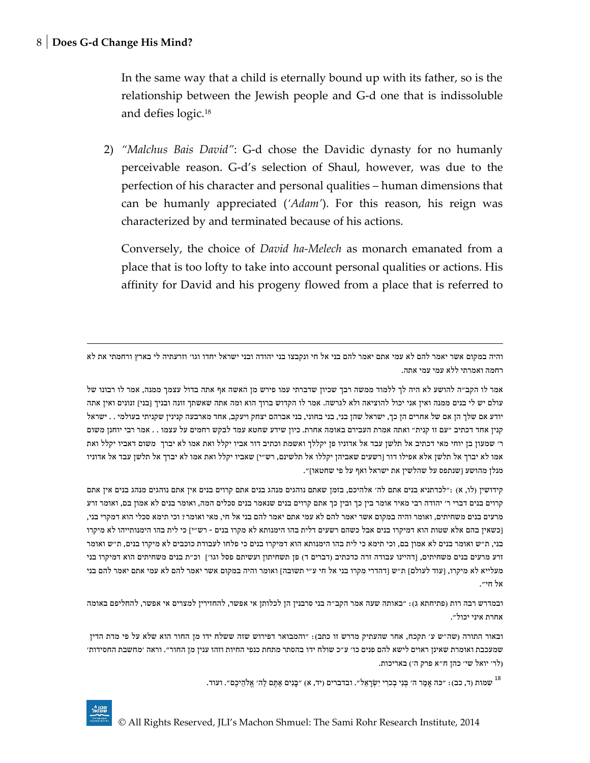In the same way that a child is eternally bound up with its father, so is the relationship between the Jewish people and G-d one that is indissoluble and defies logic.<sup>18</sup>

2) *"Malchus Bais David"*: G-d chose the Davidic dynasty for no humanly perceivable reason. G-d's selection of Shaul, however, was due to the perfection of his character and personal qualities – human dimensions that can be humanly appreciated (*'Adam'*). For this reason, his reign was characterized by and terminated because of his actions.

Conversely, the choice of *David ha-Melech* as monarch emanated from a place that is too lofty to take into account personal qualities or actions. His affinity for David and his progeny flowed from a place that is referred to

והיה במקום אשר יאמר להם לא עמי אתם יאמר להם בני אל חי ונקבצו בני יהודה ובני ישראל יחדו וגו' וזרעתיה לי בארץ ורחמתי את לא רחמה ואמרתי ללא עמי עמי אתה.

אמר לו הקב"ה להושע לא היה לך ללמוד ממשה רבך שכיון שדברתי עמו פירש מן האשה אף אתה בדול עצמך ממנה, אמר לו רבונו של עולם יש לי בנים ממנה ואין אני יכול להוציאה ולא לגרשה. אמר לו הקדוש ברוך הוא ומה אתה שאשתך זונה ובניך ]בני[ זנונים ואין אתה יודע אם שלך הן אם של אחרים הן כך, ישראל שהן בני, בני בחוני, בני אברהם יצחק ויעקב, אחד מארבעה קנינין שקניתי בעולמי . . ישראל קנין אחד דכתיב "עם זו קנית" ואתה אמרת העבירם באומה אחרת. כיון שידע שחטא עמד לבקש רחמים על עצמו . . אמר רבי יוחנן משום ר' שמעון בן יוחי מאי דכתיב אל תלשן עבד אל אדוניו פן יקללך ואשמת וכתיב דור אביו יקלל ואת אמו לא יברך משום דאביו יקלל ואת אמו לא יברך אל תלשן אלא אפילו דור ]רשעים שאביהן יקללו אל תלשינם, רש"י[ שאביו יקלל ואת אמו לא יברך אל תלשן עבד אל אדוניו מנלן מהושע ]שנתפס על שהלשין את ישראל ואף על פי שחטאו[".

קידושין )לו, א( :"לכדתניא בנים אתם לה' אלהיכם, בזמן שאתם נוהגים מנהג בנים אתם קרוים בנים אין אתם נוהגים מנהג בנים אין אתם קרוים בנים דברי ר' יהודה רבי מאיר אומר בין כך ובין כך אתם קרוים בנים שנאמר בנים סכלים המה, ואומר בנים לא אמון בם, ואומר זרע מרעים בנים משחיתים, ואומר והיה במקום אשר יאמר להם לא עמי אתם יאמר להם בני אל חי, מאי ואומר? וכי תימא סכלי הוא דמקרי בני, ]כשאין בהם אלא שטות הוא דמיקרו בנים אבל כשהם רשעים דלית בהו הימנותא לא מקרו בנים - רש"י[ כי לית בהו הימנותייהו לא מיקרו בני, ת"ש ואומר בנים לא אמון בם, וכי תימא כי לית בהו הימנותא הוא דמיקרו בנים כי פלחו לעבודת כוכבים לא מיקרו בנים, ת"ש ואומר זרע מרעים בנים משחיתים, [דהיינו עבודה זרה כדכתיב (דברים ד) פן תשחיתון ועשיתם פסל וגו׳] וכ״ת בנים משחיתים הוא דמיקרו בני מעלייא לא מיקרו, [עוד לעולם] ת"ש [דהדרי מקרו בני אל חי ע"י תשובה] ואומר והיה במקום אשר יאמר להם לא עמי אתם יאמר להם בני אל חי".

ובמדרש רבה רות (פתיחתא ג): "באותה שעה אמר הקב"ה בני סרבנין הן לכלותן אי אפשר, להחזירין למצרים אי אפשר, להחליפם באומה אחרת איני יכול".

ובאור התורה )שה"ש ע' תקכח, אחר שהעתיק מדרש זו כתב(: "והמבואר דפירוש שזה ששלח ידו מן החור הוא שלא על פי מדת הדין שמעכבת ואומרת שאינן ראוים לישא להם פנים כו' ע"כ שולח ידו בהסתר מתחת כנפי החיות וזהו ענין מן החור". וראה 'מחשבת החסידות' )לר' יואל שי' כהן ח"א פרק ה'( באריכות.

"שמות (ד, כב): "כּה אָמַר ה' בְּנִי בְכוִי יִשְׂרָאֵל". ובדברים (יד, א) "בָּנִים אַתֶּם לַה' אֱלֹהֵיכֶם". ועוד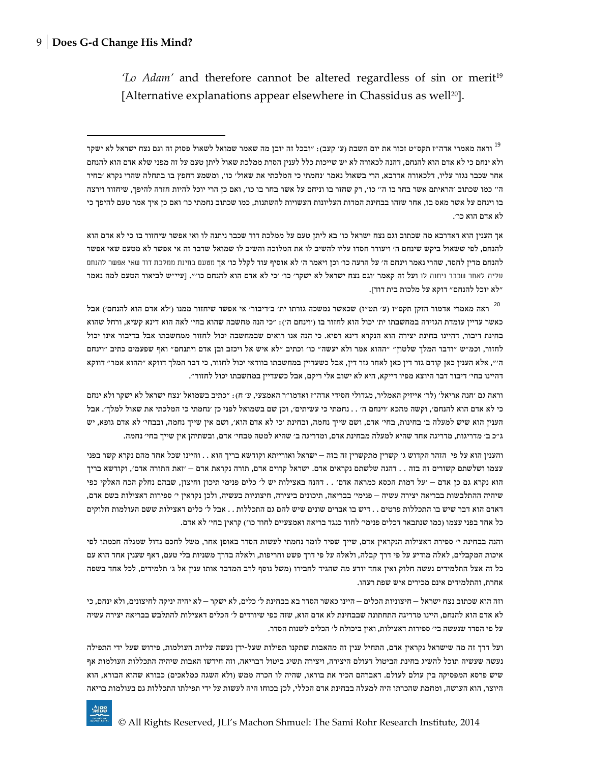'*Lo Adam*' and therefore cannot be altered regardless of sin or merit<sup>19</sup> [Alternative explanations appear elsewhere in Chassidus as well<sup>20</sup>].

אך הענין הוא דאדרבא מה שכתוב וגם נצח ישראל כו' בא ליתן טעם על ממלכת דוד שכבר ניתנה לו ואי אפשר שיחזור בו כי לא אדם הוא להנחם, לפי ששאול ביקש שינחם ה' ויעורר חסדו עליו להשיב לו את המלוכה והשיב לו שמואל שדבר זה אי אפשר לא מטעם שאי אפשר להנחם מדין לחסד, שהרי נאמר וינחם ה' על הרעה כו' וכן ויאמר ה' לא אוסיף עוד לקלל כו' אך מטעם בחינת ממלכת דוד שאי אפשר להנחם עליה לאחר שכבר ניתנה לו ועל זה קאמר 'וגם נצח ישראל לא ישקר' כו' 'כי לא אדם הוא להנחם כו'". ]עיי"ש לביאור הטעם למה נאמר "לא יוכל להנחם" דוקא על מלכות בית דוד[.

ראה מאמרי אדמור הזקן תקס"ז (ע' תט"ז) שכאשר נמשכה גזרתו ית' ב'דיבור' אי אפשר שיחזור ממנו ('לא אדם הוא להנחם') אבל כאשר עדיין עומדת הגזירה במחשבתו ית' יכול הוא לחזור בו ('וינחם ה'): "כי הנה מחשבה שהוא בחי' לאה הוא דינא קשיא, ורחל שהוא בחינת דיבור, דהיינו בחינת יצירה הוא הנקרא דינא רפיא. כי הנה אנו רואים שבמחשבה יכול לחזור ממחשבתו אבל בדיבור אינו יכול לחזור, וכמ"ש "ודבר המלך שלטון" "ההוא אמר ולא יעשה" כו' וכתיב "לא איש אל ויכזב ובן אדם ויתנחם" ואף שפעמים כתיב "וינחם ה'", אלא הענין כאן קודם גזר דין כאן לאחר גזר דין, אבל כשעדיין במחשבתו בוודאי יכול לחזור, כי דבר המלך דווקא "ההוא אמר" דווקא דהיינו בחי' דיבור דבר היוצא מפיו דייקא, היא לא ישוב אלי ריקם, אבל כשעדיין במחשבתו יכול לחזור".

וראה גם 'חנה אריאל' )לר' אייזיק האמליר, מגדולי חסידי אדה"ז ואדמו"ר האמצעי, ע' ח(: "כתיב בשמואל 'נצח ישראל לא ישקר ולא ינחם כי לא אדם הוא להנחם', וקשה מהכא 'וינחם ה' . . נחמתי כי עשיתים', וכן שם בשמואל לפני כן 'נחמתי כי המלכתי את שאול למלך'. אבל הענין הוא שיש למעלה ב' בחינות, בחי' אדם, ושם שייך נחמה, ובחינת 'כי לא אדם הוא', ושם אין שייך נחמה, ובבחי' לא אדם גופא, יש ג"כ ב' מדריגות, מדריגה אחד שהיא למעלה מבחינת אדם, ומדריגה ב' שהיא למטה מבחי' אדם, ובשתיהן אין שייך בחי' נחמה.

והענין הוא על פי הזהר הקדוש ג' קשרין מתקשרין זה בזה – ישראל ואורייתא וקודשא בריך הוא . . והיינו שכל אחד מהם נקרא קשר בפני עצמו ושלשתם קשורים זה בזה . . דהנה שלשתם נקראים אדם. ישראל קרוים אדם, תורה נקראת אדם – 'זאת התורה אדם', וקודשא בריך הוא נקרא גם כן אדם – 'על דמות הכסא כמראה אדם' . . דהנה באצילות יש ל' כלים פנימי תיכון וחיצון, שבהם נחלק הכח האלקי כפי שיהיה ההתלבשות בבריאה יצירה עשיה – פנימי' בבריאה, תיכונים ביצירה, חיצוניות בעשיה, ולכן נקראין י' ספירות דאצילות בשם אדם, דאדם הוא דבר שיש בו התכללות פרטים . . דיש בו אברים שונים שיש להם גם התכללות . . אבל ל' כלים דאצילות ששם העולמות חלוקים כל אחד בפני עצמו (כמו שנתבאר דכלים פנימי' לחוד כנגד בריאה ואמצעיים לחוד כו') קראין בחי' לא אדם.

והנה בבחינת י' ספירת דאצילות הנקראין אדם, שייך שפיר לומר נחמתי לעשות הסדר באופן אחר, משל לחכם גדול שמגלה חכמתו לפי איכות המקבלים, לאלה מודיע על פי דרך קבלה, ולאלה על פי דרך פשט וחריפות, ולאלה בדרך משניות בלי טעם, דאף שענין אחד הוא עם כל זה אצל התלמידים נעשה חלוק ואין אחד יודע מה שהגיד לחבירו )משל נוסף לרב המדבר אותו ענין אל ג' תלמידים, לכל אחד בשפה אחרת, והתלמידים אינם מכירים איש שפת רעהו.

וזה הוא שכתוב נצח ישראל – חיצוניות הכלים – היינו כאשר הסדר בא בבחינת ל' כלים, לא ישקר – לא יהיה יניקה לחיצונים, ולא ינחם, כי לא אדם הוא להנחם, היינו מדריגה התחתונה שבבחינת לא אדם הוא, שזה כפי שיורדים ל' הכלים דאצילות להתלבש בבריאה יצירה עשיה על פי הסדר שנעשה בי' ספירות דאצילות, ואין ביכולת ל' הכלים לשנות הסדר.

ועל דרך זה מה שישראל נקראין אדם, התחיל ענין זה מהאבות שתקנו תפילות שעל-ידן נעשה עליות העולמות, פירוש שעל ידי התפילה נעשה שעשיה תוכל להשיג בחינת הביטול דעולם היצירה, ויצירה תשיג ביטול דבריאה, וזה חידשו האבות שיהיה התכללות העולמות אף שיש פרסא המפסיקה בין עולם לעולם. דאברהם הכיר את בוראו, שהיה לו הכרה ממש (ולא השגה כמלאכים) כבורא שהוא הבורא, הוא היוצר, הוא העושה, ומחמת שהכרתו היה למעלה בבחינת אדם הכללי, לכן בכוחו היה לעשות על ידי תפילתו התכללות גם בעולמות בריאה

<sup>&</sup>lt;sup>19</sup> וראה מאמרי אדה״ז תקס״ט זכור את יום השבת (ע׳ קעב): ״ובכל זה יובן מה שאמר שמואל לשאול פסוק זה וגם נצח ישראל לא ישקר ולא ינחם כי לא אדם הוא להנחם, דהנה לכאורה לא יש שייכות כלל לענין הסרת ממלכת שאול ליתן טעם על זה מפני שלא אדם הוא להנחם אחר שכבר נגזר עליו, דלכאורה אדרבא, הרי בשאול נאמר 'נחמתי כי המלכתי את שאול' כו', ומשמע דחפץ בו בתחלה שהרי נקרא 'בחיר ה'' כמו שכתוב 'הראיתם אשר בחר בו ה'' כו', רק שחזר בו וניחם על אשר בחר בו כו', ואם כן הרי יוכל להיות חזרה להיפך, שיחזור וירצה בו וינחם על אשר מאס בו, אחר שזהו בבחינת המדות העליונות העשויות להשתנות, כמו שכתוב נחמתי כו' ואם כן איך אמר טעם להיפך כי לא אדם הוא כו'.